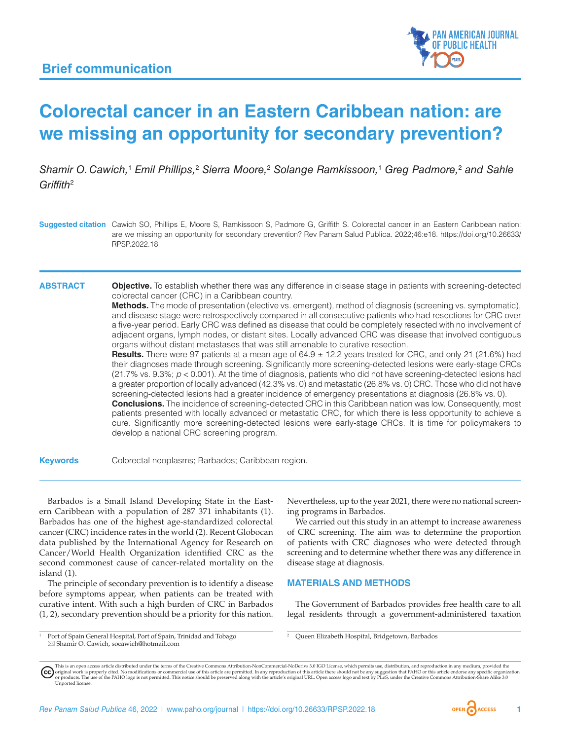

# **Colorectal cancer in an Eastern Caribbean nation: are we missing an opportunity for secondary prevention?**

Shamir O. Cawich,<sup>1</sup> Emil Phillips,<sup>2</sup> Sierra Moore,<sup>2</sup> Solange Ramkissoon,<sup>1</sup> Greg Padmore,<sup>2</sup> and Sahle *Griffith*<sup>2</sup>

**ABSTRACT Objective.** To establish whether there was any difference in disease stage in patients with screening-detected colorectal cancer (CRC) in a Caribbean country.

> **Methods.** The mode of presentation (elective vs. emergent), method of diagnosis (screening vs. symptomatic), and disease stage were retrospectively compared in all consecutive patients who had resections for CRC over a five-year period. Early CRC was defined as disease that could be completely resected with no involvement of adjacent organs, lymph nodes, or distant sites. Locally advanced CRC was disease that involved contiguous organs without distant metastases that was still amenable to curative resection.

> **Results.** There were 97 patients at a mean age of 64.9 ± 12.2 years treated for CRC, and only 21 (21.6%) had their diagnoses made through screening. Significantly more screening-detected lesions were early-stage CRCs (21.7% vs. 9.3%; *p* < 0.001). At the time of diagnosis, patients who did not have screening-detected lesions had a greater proportion of locally advanced (42.3% vs. 0) and metastatic (26.8% vs. 0) CRC. Those who did not have screening-detected lesions had a greater incidence of emergency presentations at diagnosis (26.8% vs. 0). **Conclusions.** The incidence of screening-detected CRC in this Caribbean nation was low. Consequently, most patients presented with locally advanced or metastatic CRC, for which there is less opportunity to achieve a

> cure. Significantly more screening-detected lesions were early-stage CRCs. It is time for policymakers to

**Keywords** Colorectal neoplasms; Barbados; Caribbean region.

develop a national CRC screening program.

Barbados is a Small Island Developing State in the Eastern Caribbean with a population of 287 371 inhabitants (1). Barbados has one of the highest age-standardized colorectal cancer (CRC) incidence rates in the world (2). Recent Globocan data published by the International Agency for Research on Cancer/World Health Organization identified CRC as the second commonest cause of cancer-related mortality on the island (1).

The principle of secondary prevention is to identify a disease before symptoms appear, when patients can be treated with curative intent. With such a high burden of CRC in Barbados (1, 2), secondary prevention should be a priority for this nation. Nevertheless, up to the year 2021, there were no national screening programs in Barbados.

We carried out this study in an attempt to increase awareness of CRC screening. The aim was to determine the proportion of patients with CRC diagnoses who were detected through screening and to determine whether there was any difference in disease stage at diagnosis.

### **MATERIALS AND METHODS**

The Government of Barbados provides free health care to all legal residents through a government-administered taxation

<sup>1</sup> Port of Spain General Hospital, Port of Spain, Trinidad and Tobago \*  Shamir O. Cawich, [socawich@hotmail.com](mailto:socawich@hotmail.com)



**Suggested citation** Cawich SO, Phillips E, Moore S, Ramkissoon S, Padmore G, Griffith S. Colorectal cancer in an Eastern Caribbean nation: are we missing an opportunity for secondary prevention? Rev Panam Salud Publica. 2022;46:e18. [https://doi.org/10.26633/](https://doi.org/10.26633/RPSP.2022.18) [RPSP.2022.18](https://doi.org/10.26633/RPSP.2022.18)

<sup>2</sup> Queen Elizabeth Hospital, Bridgetown, Barbados

This is an open access article distributed under the terms of the [Creative Commons Attribution-NonCommercial-NoDerivs 3.0 IGO](https://creativecommons.org/licenses/by-nc-nd/3.0/igo/legalcode) License, which permits use, distribution, and reproduction in any medium, provided the (cc) original work is properly cited. No modifications or commercial use of this article are permitted. In any reproduction of this article there should not be any suggestion that PAHO or this article endorse any specific organ [Unported](https://creativecommons.org/licenses/by-sa/3.0/deed.en) license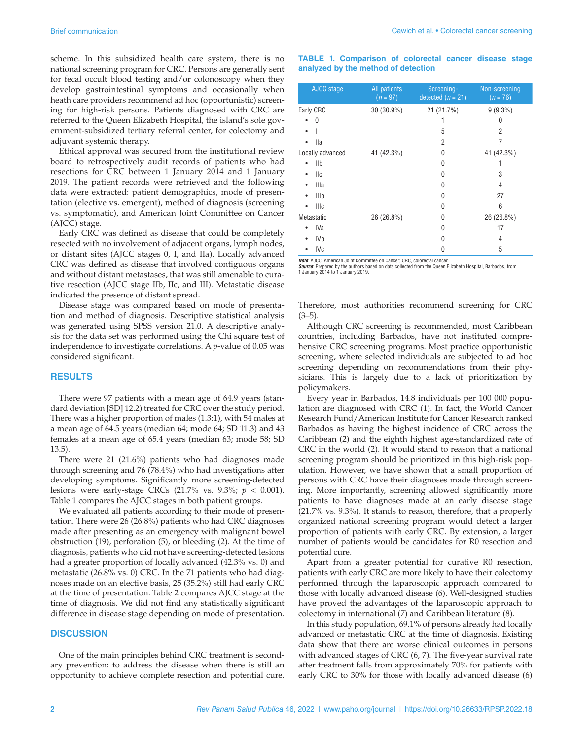scheme. In this subsidized health care system, there is no national screening program for CRC. Persons are generally sent for fecal occult blood testing and/or colonoscopy when they develop gastrointestinal symptoms and occasionally when heath care providers recommend ad hoc (opportunistic) screening for high-risk persons. Patients diagnosed with CRC are referred to the Queen Elizabeth Hospital, the island's sole government-subsidized tertiary referral center, for colectomy and adjuvant systemic therapy.

Ethical approval was secured from the institutional review board to retrospectively audit records of patients who had resections for CRC between 1 January 2014 and 1 January 2019. The patient records were retrieved and the following data were extracted: patient demographics, mode of presentation (elective vs. emergent), method of diagnosis (screening vs. symptomatic), and American Joint Committee on Cancer (AJCC) stage.

Early CRC was defined as disease that could be completely resected with no involvement of adjacent organs, lymph nodes, or distant sites (AJCC stages 0, I, and IIa). Locally advanced CRC was defined as disease that involved contiguous organs and without distant metastases, that was still amenable to curative resection (AJCC stage IIb, IIc, and III). Metastatic disease indicated the presence of distant spread.

Disease stage was compared based on mode of presentation and method of diagnosis. Descriptive statistical analysis was generated using SPSS version 21.0. A descriptive analysis for the data set was performed using the Chi square test of independence to investigate correlations. A *p*-value of 0.05 was considered significant.

#### **RESULTS**

There were 97 patients with a mean age of 64.9 years (standard deviation [SD] 12.2) treated for CRC over the study period. There was a higher proportion of males (1.3:1), with 54 males at a mean age of 64.5 years (median 64; mode 64; SD 11.3) and 43 females at a mean age of 65.4 years (median 63; mode 58; SD 13.5).

There were 21 (21.6%) patients who had diagnoses made through screening and 76 (78.4%) who had investigations after developing symptoms. Significantly more screening-detected lesions were early-stage CRCs (21.7% vs. 9.3%; *p* < 0.001). Table 1 compares the AJCC stages in both patient groups.

We evaluated all patients according to their mode of presentation. There were 26 (26.8%) patients who had CRC diagnoses made after presenting as an emergency with malignant bowel obstruction (19), perforation (5), or bleeding (2). At the time of diagnosis, patients who did not have screening-detected lesions had a greater proportion of locally advanced (42.3% vs. 0) and metastatic (26.8% vs. 0) CRC. In the 71 patients who had diagnoses made on an elective basis, 25 (35.2%) still had early CRC at the time of presentation. Table 2 compares AJCC stage at the time of diagnosis. We did not find any statistically significant difference in disease stage depending on mode of presentation.

#### **DISCUSSION**

One of the main principles behind CRC treatment is secondary prevention: to address the disease when there is still an opportunity to achieve complete resection and potential cure.

#### **TABLE 1. Comparison of colorectal cancer disease stage analyzed by the method of detection**

| AJCC stage                                                                             | <b>All</b> patients<br>$(n = 97)$ | Screening-<br>detected $(n = 21)$ | Non-screening<br>$(n = 76)$ |  |
|----------------------------------------------------------------------------------------|-----------------------------------|-----------------------------------|-----------------------------|--|
| Early CRC                                                                              | 30 (30.9%)                        | 21 (21.7%)                        | $9(9.3\%)$                  |  |
| 0                                                                                      |                                   |                                   | 0                           |  |
|                                                                                        |                                   | 5                                 | 2                           |  |
| lla                                                                                    |                                   | 2                                 | 7                           |  |
| Locally advanced                                                                       | 41 (42.3%)                        | 0                                 | 41 (42.3%)                  |  |
| IIb                                                                                    |                                   | 0                                 |                             |  |
| llc                                                                                    |                                   | 0                                 | 3                           |  |
| Illa                                                                                   |                                   | 0                                 | 4                           |  |
| IIIb<br>٠                                                                              |                                   | 0                                 | 27                          |  |
| Illc                                                                                   |                                   | 0                                 | 6                           |  |
| Metastatic                                                                             | 26 (26.8%)                        | 0                                 | 26 (26.8%)                  |  |
| IVa                                                                                    |                                   | 0                                 | 17                          |  |
| <b>IVb</b>                                                                             |                                   | 0                                 | 4                           |  |
| IVc                                                                                    |                                   | 0                                 | 5                           |  |
| $H_{2}L_{1}$ , A.IOO, A., , deep to be Occupation to Occupation ODO, a change of cases |                                   |                                   |                             |  |

*Note*: AJCC, American Joint Committee on Cancer; CRC, colorectal cancer. *Source*: Prepared by the authors based on data collected from the Queen Elizabeth Hospital, Barbados, from 1 January 2014 to 1 January 2019.

Therefore, most authorities recommend screening for CRC  $(3-5)$ .

Although CRC screening is recommended, most Caribbean countries, including Barbados, have not instituted comprehensive CRC screening programs. Most practice opportunistic screening, where selected individuals are subjected to ad hoc screening depending on recommendations from their physicians. This is largely due to a lack of prioritization by policymakers.

Every year in Barbados, 14.8 individuals per 100 000 population are diagnosed with CRC (1). In fact, the World Cancer Research Fund/American Institute for Cancer Research ranked Barbados as having the highest incidence of CRC across the Caribbean (2) and the eighth highest age-standardized rate of CRC in the world (2). It would stand to reason that a national screening program should be prioritized in this high-risk population. However, we have shown that a small proportion of persons with CRC have their diagnoses made through screening. More importantly, screening allowed significantly more patients to have diagnoses made at an early disease stage (21.7% vs. 9.3%). It stands to reason, therefore, that a properly organized national screening program would detect a larger proportion of patients with early CRC. By extension, a larger number of patients would be candidates for R0 resection and potential cure.

Apart from a greater potential for curative R0 resection, patients with early CRC are more likely to have their colectomy performed through the laparoscopic approach compared to those with locally advanced disease (6). Well-designed studies have proved the advantages of the laparoscopic approach to colectomy in international (7) and Caribbean literature (8).

In this study population, 69.1% of persons already had locally advanced or metastatic CRC at the time of diagnosis. Existing data show that there are worse clinical outcomes in persons with advanced stages of CRC (6, 7). The five-year survival rate after treatment falls from approximately 70% for patients with early CRC to 30% for those with locally advanced disease (6)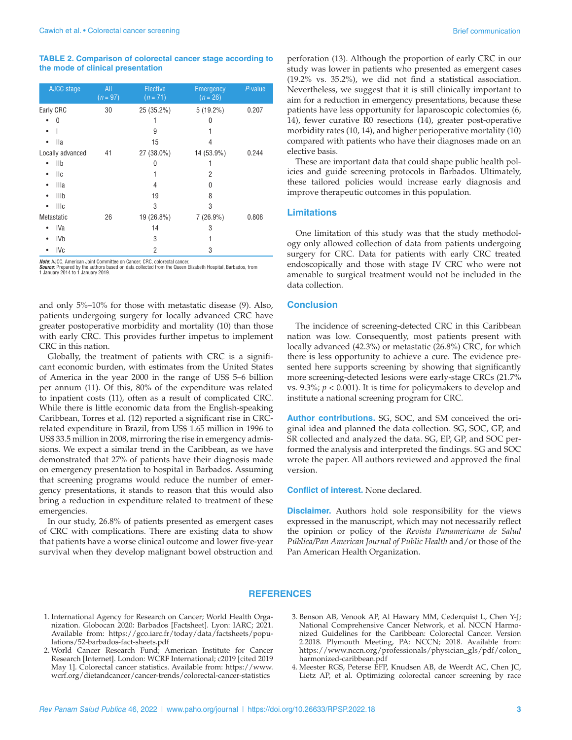**TABLE 2. Comparison of colorectal cancer stage according to the mode of clinical presentation**

| AJCC stage               | All<br>$(n = 97)$ | <b>Elective</b><br>$(n = 71)$ | Emergency<br>$(n = 26)$ | P-value |
|--------------------------|-------------------|-------------------------------|-------------------------|---------|
| Early CRC                | 30                | 25 (35.2%)                    | $5(19.2\%)$             | 0.207   |
| 0                        |                   |                               | 0                       |         |
|                          |                   | 9                             |                         |         |
| <b>Ila</b>               |                   | 15                            | 4                       |         |
| Locally advanced         | 41                | 27 (38.0%)                    | 14 (53.9%)              | 0.244   |
| IIb                      |                   | 0                             | 1                       |         |
| <b>IIc</b>               |                   |                               | 2                       |         |
| Illa<br>٠                |                   | 4                             | 0                       |         |
| IIIb                     |                   | 19                            | 8                       |         |
| <b>IIIc</b><br>$\bullet$ |                   | 3                             | 3                       |         |
| Metastatic               | 26                | 19 (26.8%)                    | $7(26.9\%)$             | 0.808   |
| IVa                      |                   | 14                            | 3                       |         |
| IV <sub>b</sub>          |                   | 3                             | 1                       |         |
| IV <sub>c</sub>          |                   | 2                             | 3                       |         |

*Note:* AJCC, American Joint Committee on Cancer; CRC, colorectal cancer.<br>*Source*: Prepared by the authors based on data collected from the Queen Elizabeth Hospital, Barbados, from<br>1 January 2014 to 1 January 2019.

and only 5%–10% for those with metastatic disease (9). Also, patients undergoing surgery for locally advanced CRC have greater postoperative morbidity and mortality (10) than those with early CRC. This provides further impetus to implement CRC in this nation.

Globally, the treatment of patients with CRC is a significant economic burden, with estimates from the United States of America in the year 2000 in the range of US\$ 5–6 billion per annum (11). Of this, 80% of the expenditure was related to inpatient costs (11), often as a result of complicated CRC. While there is little economic data from the English-speaking Caribbean, Torres et al. (12) reported a significant rise in CRCrelated expenditure in Brazil, from US\$ 1.65 million in 1996 to US\$ 33.5 million in 2008, mirroring the rise in emergency admissions. We expect a similar trend in the Caribbean, as we have demonstrated that 27% of patients have their diagnosis made on emergency presentation to hospital in Barbados. Assuming that screening programs would reduce the number of emergency presentations, it stands to reason that this would also bring a reduction in expenditure related to treatment of these emergencies.

In our study, 26.8% of patients presented as emergent cases of CRC with complications. There are existing data to show that patients have a worse clinical outcome and lower five-year survival when they develop malignant bowel obstruction and

perforation (13). Although the proportion of early CRC in our study was lower in patients who presented as emergent cases (19.2% vs. 35.2%), we did not find a statistical association. Nevertheless, we suggest that it is still clinically important to aim for a reduction in emergency presentations, because these patients have less opportunity for laparoscopic colectomies (6, 14), fewer curative R0 resections (14), greater post-operative morbidity rates (10, 14), and higher perioperative mortality (10) compared with patients who have their diagnoses made on an elective basis.

These are important data that could shape public health policies and guide screening protocols in Barbados. Ultimately, these tailored policies would increase early diagnosis and improve therapeutic outcomes in this population.

### **Limitations**

One limitation of this study was that the study methodology only allowed collection of data from patients undergoing surgery for CRC. Data for patients with early CRC treated endoscopically and those with stage IV CRC who were not amenable to surgical treatment would not be included in the data collection.

#### **Conclusion**

The incidence of screening-detected CRC in this Caribbean nation was low. Consequently, most patients present with locally advanced (42.3%) or metastatic (26.8%) CRC, for which there is less opportunity to achieve a cure. The evidence presented here supports screening by showing that significantly more screening-detected lesions were early-stage CRCs (21.7% vs. 9.3%; *p* < 0.001). It is time for policymakers to develop and institute a national screening program for CRC.

**Author contributions.** SG, SOC, and SM conceived the original idea and planned the data collection. SG, SOC, GP, and SR collected and analyzed the data. SG, EP, GP, and SOC performed the analysis and interpreted the findings. SG and SOC wrote the paper. All authors reviewed and approved the final version.

**Conflict of interest.** None declared.

**Disclaimer.** Authors hold sole responsibility for the views expressed in the manuscript, which may not necessarily reflect the opinion or policy of the *Revista Panamericana de Salud Pública/Pan American Journal of Public Health* and/or those of the Pan American Health Organization.

#### **REFERENCES**

- 1. International Agency for Research on Cancer; World Health Organization. Globocan 2020: Barbados [Factsheet]. Lyon: IARC; 2021. Available from: [https://gco.iarc.fr/today/data/factsheets/popu](https://gco.iarc.fr/today/data/factsheets/populations/52-barbados-fact-sheets.pdf)[lations/52-barbados-fact-sheets.pdf](https://gco.iarc.fr/today/data/factsheets/populations/52-barbados-fact-sheets.pdf)
- 2. World Cancer Research Fund; American Institute for Cancer Research [Internet]. London: WCRF International; c2019 [cited 2019 May 1]. Colorectal cancer statistics. Available from: [https://www.](https://www.wcrf.org/dietandcancer/cancer-trends/colorectal-cancer) [wcrf.org/dietandcancer/cancer-trends/colorectal-cancer](https://www.wcrf.org/dietandcancer/cancer-trends/colorectal-cancer)-statistics
- 3. Benson AB, Venook AP, Al Hawary MM, Cederquist L, Chen Y-J; National Comprehensive Cancer Network, et al. NCCN Harmonized Guidelines for the Caribbean: Colorectal Cancer. Version 2.2018. Plymouth Meeting, PA: NCCN; 2018. Available from: [https://www.nccn.org/professionals/physician\\_gls/pdf/colon\\_](https://www.nccn.org/professionals/physician_gls/pdf/colon_harmonized-caribbean.pdf) [harmonized-caribbean.pdf](https://www.nccn.org/professionals/physician_gls/pdf/colon_harmonized-caribbean.pdf)
- 4. Meester RGS, Peterse EFP, Knudsen AB, de Weerdt AC, Chen JC, Lietz AP, et al. Optimizing colorectal cancer screening by race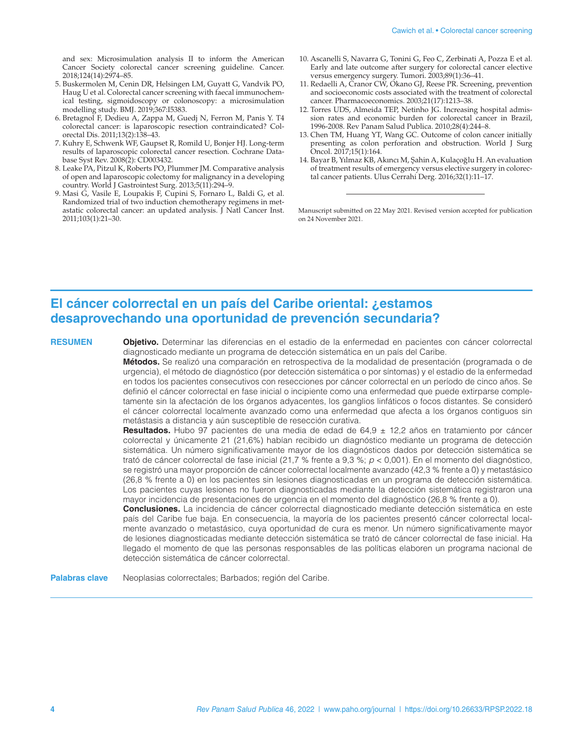and sex: Microsimulation analysis II to inform the American Cancer Society colorectal cancer screening guideline. Cancer. 2018;124(14):2974–85.

- 5. Buskermolen M, Cenin DR, Helsingen LM, Guyatt G, Vandvik PO, Haug U et al. Colorectal cancer screening with faecal immunochemical testing, sigmoidoscopy or colonoscopy: a microsimulation modelling study. BMJ. 2019;367:I5383.
- 6. Bretagnol F, Dedieu A, Zappa M, Guedj N, Ferron M, Panis Y. T4 colorectal cancer: is laparoscopic resection contraindicated? Colorectal Dis. 2011;13(2):138–43.
- 7. Kuhry E, Schwenk WF, Gaupset R, Romild U, Bonjer HJ. Long-term results of laparoscopic colorectal cancer resection. Cochrane Database Syst Rev. 2008(2): CD003432.
- 8. Leake PA, Pitzul K, Roberts PO, Plummer JM. Comparative analysis of open and laparoscopic colectomy for malignancy in a developing country. World J Gastrointest Surg. 2013;5(11):294–9.
- 9. Masi G, Vasile E, Loupakis F, Cupini S, Fornaro L, Baldi G, et al. Randomized trial of two induction chemotherapy regimens in metastatic colorectal cancer: an updated analysis. J Natl Cancer Inst. 2011;103(1):21–30.
- 10. Ascanelli S, Navarra G, Tonini G, Feo C, Zerbinati A, Pozza E et al. Early and late outcome after surgery for colorectal cancer elective versus emergency surgery. Tumori. 2003;89(1):36–41.
- 11. Redaelli A, Cranor CW, Okano GJ, Reese PR. Screening, prevention and socioeconomic costs associated with the treatment of colorectal cancer. Pharmacoeconomics. 2003;21(17):1213–38.
- 12. Torres UDS, Almeida TEP, Netinho JG. Increasing hospital admission rates and economic burden for colorectal cancer in Brazil, 1996-2008. Rev Panam Salud Publica. 2010;28(4):244–8.
- 13. Chen TM, Huang YT, Wang GC. Outcome of colon cancer initially presenting as colon perforation and obstruction. World J Surg Oncol. 2017;15(1):164.
- 14. Bayar B, Yılmaz KB, Akıncı M, Şahin A, Kulaçoğlu H. An evaluation of treatment results of emergency versus elective surgery in colorectal cancer patients. Ulus Cerrahi Derg. 2016;32(1):11–17.

Manuscript submitted on 22 May 2021. Revised version accepted for publication on 24 November 2021.

## **El cáncer colorrectal en un país del Caribe oriental: ¿estamos desaprovechando una oportunidad de prevención secundaria?**

**RESUMEN Objetivo.** Determinar las diferencias en el estadio de la enfermedad en pacientes con cáncer colorrectal diagnosticado mediante un programa de detección sistemática en un país del Caribe.

> **Métodos.** Se realizó una comparación en retrospectiva de la modalidad de presentación (programada o de urgencia), el método de diagnóstico (por detección sistemática o por síntomas) y el estadio de la enfermedad en todos los pacientes consecutivos con resecciones por cáncer colorrectal en un período de cinco años. Se definió el cáncer colorrectal en fase inicial o incipiente como una enfermedad que puede extirparse completamente sin la afectación de los órganos adyacentes, los ganglios linfáticos o focos distantes. Se consideró el cáncer colorrectal localmente avanzado como una enfermedad que afecta a los órganos contiguos sin metástasis a distancia y aún susceptible de resección curativa.

> **Resultados.** Hubo 97 pacientes de una media de edad de 64,9 ± 12,2 años en tratamiento por cáncer colorrectal y únicamente 21 (21,6%) habían recibido un diagnóstico mediante un programa de detección sistemática. Un número significativamente mayor de los diagnósticos dados por detección sistemática se trató de cáncer colorrectal de fase inicial (21,7 % frente a 9,3 %; *p* < 0,001). En el momento del diagnóstico, se registró una mayor proporción de cáncer colorrectal localmente avanzado (42,3 % frente a 0) y metastásico (26,8 % frente a 0) en los pacientes sin lesiones diagnosticadas en un programa de detección sistemática. Los pacientes cuyas lesiones no fueron diagnosticadas mediante la detección sistemática registraron una mayor incidencia de presentaciones de urgencia en el momento del diagnóstico (26,8 % frente a 0).

> **Conclusiones.** La incidencia de cáncer colorrectal diagnosticado mediante detección sistemática en este país del Caribe fue baja. En consecuencia, la mayoría de los pacientes presentó cáncer colorrectal localmente avanzado o metastásico, cuya oportunidad de cura es menor. Un número significativamente mayor de lesiones diagnosticadas mediante detección sistemática se trató de cáncer colorrectal de fase inicial. Ha llegado el momento de que las personas responsables de las políticas elaboren un programa nacional de detección sistemática de cáncer colorrectal.

Palabras clave Neoplasias colorrectales; Barbados; región del Caribe.